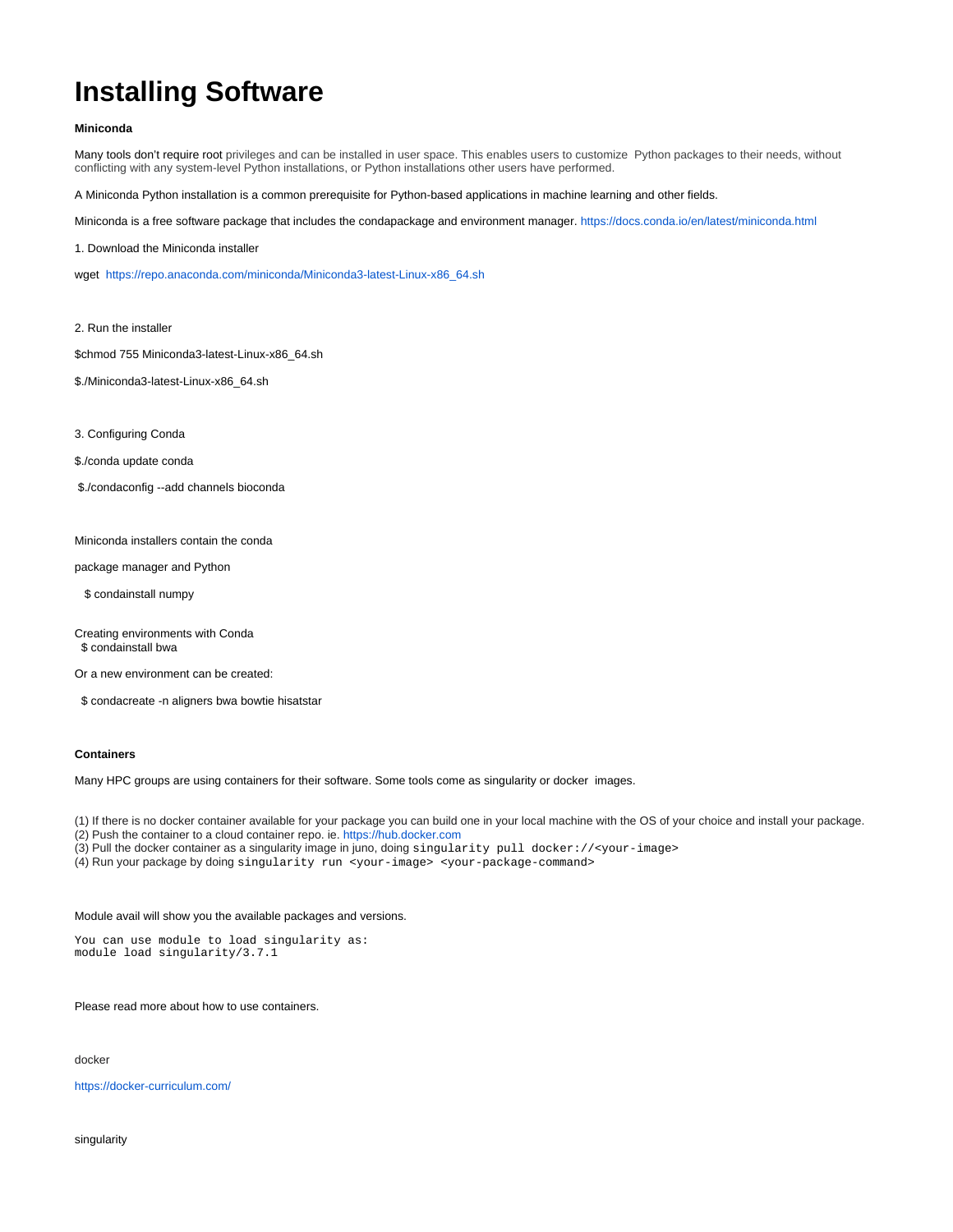## **Installing Software**

## **Miniconda**

Many tools don't require root privileges and can be installed in user space. This enables users to customize Python packages to their needs, without conflicting with any system-level Python installations, or Python installations other users have performed.

A Miniconda Python installation is a common prerequisite for Python-based applications in machine learning and other fields.

Miniconda is a free software package that includes the condapackage and environment manager.<https://docs.conda.io/en/latest/miniconda.html>

1. Download the Miniconda installer

wget [https://repo.anaconda.com/miniconda/Miniconda3-latest-Linux-x86\\_64.sh](https://repo.anaconda.com/miniconda/Miniconda3-latest-Linux-x86_64.sh)

2. Run the installer

\$chmod 755 Miniconda3-latest-Linux-x86\_64.sh

- \$./Miniconda3-latest-Linux-x86\_64.sh
- 3. Configuring Conda
- \$./conda update conda
- \$./condaconfig --add channels bioconda

Miniconda installers contain the conda

package manager and Python

\$ condainstall numpy

Creating environments with Conda \$ condainstall bwa

Or a new environment can be created:

\$ condacreate -n aligners bwa bowtie hisatstar

## **Containers**

Many HPC groups are using containers for their software. Some tools come as singularity or docker images.

(1) If there is no docker container available for your package you can build one in your local machine with the OS of your choice and install your package.

- (2) Push the container to a cloud container repo. ie. [https://hub.docker.com](https://hub.docker.com/)
- (3) Pull the docker container as a singularity image in juno, doing singularity pull docker://<your-image>
- (4) Run your package by doing singularity run <your-image> <your-package-command>

## Module avail will show you the available packages and versions.

You can use module to load singularity as: module load singularity/3.7.1

Please read more about how to use containers.

docker

<https://docker-curriculum.com/>

singularity